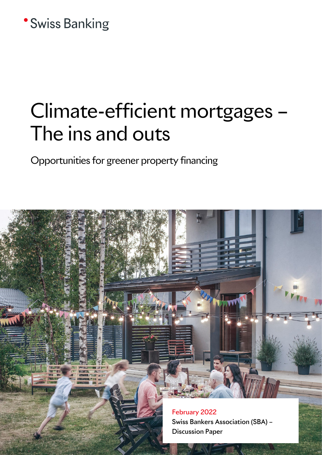## **\*Swiss Banking**

# Climate-efficient mortgages – The ins and outs

Opportunities for greener property financing

February 2022 Swiss Bankers Association (SBA) – Discussion Paper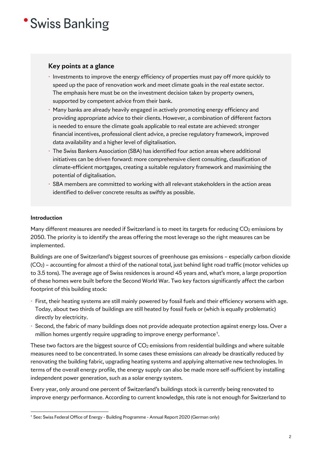### 'Swiss Banking

### **Key points at a glance**

- ⋅ Investments to improve the energy efficiency of properties must pay off more quickly to speed up the pace of renovation work and meet climate goals in the real estate sector. The emphasis here must be on the investment decision taken by property owners, supported by competent advice from their bank.
- $\cdot$  Many banks are already heavily engaged in actively promoting energy efficiency and providing appropriate advice to their clients. However, a combination of different factors is needed to ensure the climate goals applicable to real estate are achieved: stronger financial incentives, professional client advice, a precise regulatory framework, improved data availability and a higher level of digitalisation.
- ⋅ The Swiss Bankers Association (SBA) has identified four action areas where additional initiatives can be driven forward: more comprehensive client consulting, classification of climate-efficient mortgages, creating a suitable regulatory framework and maximising the potential of digitalisation.
- ⋅ SBA members are committed to working with all relevant stakeholders in the action areas identified to deliver concrete results as swiftly as possible.

#### **Introduction**

Many different measures are needed if Switzerland is to meet its targets for reducing CO<sub>2</sub> emissions by 2050. The priority is to identify the areas offering the most leverage so the right measures can be implemented.

Buildings are one of Switzerland's biggest sources of greenhouse gas emissions – especially carbon dioxide (CO2) – accounting for almost a third of the national total, just behind light road traffic (motor vehicles up to 3.5 tons). The average age of Swiss residences is around 45 years and, what's more, a large proportion of these homes were built before the Second World War. Two key factors significantly affect the carbon footprint of this building stock:

- ⋅ First, their heating systems are still mainly powered by fossil fuels and their efficiency worsens with age. Today, about two thirds of buildings are still heated by fossil fuels or (which is equally problematic) directly by electricity.
- ⋅ Second, the fabric of many buildings does not provide adequate protection against energy loss. Over a million homes urgently require upgrading to improve energy performance<sup>[1](#page-1-0)</sup>.

These two factors are the biggest source of  $CO<sub>2</sub>$  emissions from residential buildings and where suitable measures need to be concentrated. In some cases these emissions can already be drastically reduced by renovating the building fabric, upgrading heating systems and applying alternative new technologies. In terms of the overall energy profile, the energy supply can also be made more self-sufficient by installing independent power generation, such as a solar energy system.

Every year, only around one percent of Switzerland's buildings stock is currently being renovated to improve energy performance. According to current knowledge, this rate is not enough for Switzerland to

<span id="page-1-0"></span><sup>&</sup>lt;sup>1</sup> See: Swiss Federal Office of Energy - Building Programme - Annual Report 2020 (German only)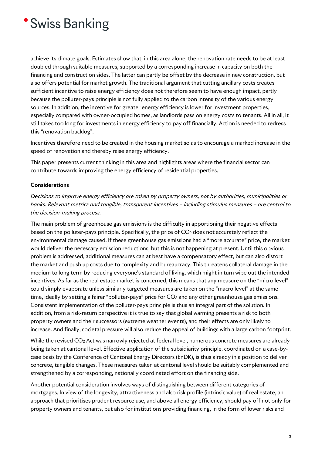## 'Swiss Banking

achieve its climate goals. Estimates show that, in this area alone, the renovation rate needs to be at least doubled through suitable measures, supported by a corresponding increase in capacity on both the financing and construction sides. The latter can partly be offset by the decrease in new construction, but also offers potential for market growth. The traditional argument that cutting ancillary costs creates sufficient incentive to raise energy efficiency does not therefore seem to have enough impact, partly because the polluter-pays principle is not fully applied to the carbon intensity of the various energy sources. In addition, the incentive for greater energy efficiency is lower for investment properties, especially compared with owner-occupied homes, as landlords pass on energy costs to tenants. All in all, it still takes too long for investments in energy efficiency to pay off financially. Action is needed to redress this "renovation backlog".

Incentives therefore need to be created in the housing market so as to encourage a marked increase in the speed of renovation and thereby raise energy efficiency.

This paper presents current thinking in this area and highlights areas where the financial sector can contribute towards improving the energy efficiency of residential properties.

#### **Considerations**

*Decisions to improve energy efficiency are taken by property owners, not by authorities, municipalities or banks. Relevant metrics and tangible, transparent incentives – including stimulus measures – are central to the decision-making process.* 

The main problem of greenhouse gas emissions is the difficulty in apportioning their negative effects based on the polluter-pays principle. Specifically, the price of  $CO<sub>2</sub>$  does not accurately reflect the environmental damage caused. If these greenhouse gas emissions had a "more accurate" price, the market would deliver the necessary emission reductions, but this is not happening at present. Until this obvious problem is addressed, additional measures can at best have a compensatory effect, but can also distort the market and push up costs due to complexity and bureaucracy. This threatens collateral damage in the medium to long term by reducing everyone's standard of living, which might in turn wipe out the intended incentives. As far as the real estate market is concerned, this means that any measure on the "micro level" could simply evaporate unless similarly targeted measures are taken on the "macro level" at the same time, ideally by setting a fairer "polluter-pays" price for  $CO<sub>2</sub>$  and any other greenhouse gas emissions. Consistent implementation of the polluter-pays principle is thus an integral part of the solution. In addition, from a risk-return perspective it is true to say that global warming presents a risk to both property owners and their successors (extreme weather events), and their effects are only likely to increase. And finally, societal pressure will also reduce the appeal of buildings with a large carbon footprint.

While the revised CO<sub>2</sub> Act was narrowly rejected at federal level, numerous concrete measures are already being taken at cantonal level. Effective application of the subsidiarity principle, coordinated on a case-bycase basis by the Conference of Cantonal Energy Directors (EnDK), is thus already in a position to deliver concrete, tangible changes. These measures taken at cantonal level should be suitably complemented and strengthened by a corresponding, nationally coordinated effort on the financing side.

Another potential consideration involves ways of distinguishing between different categories of mortgages. In view of the longevity, attractiveness and also risk profile (intrinsic value) of real estate, an approach that prioritises prudent resource use, and above all energy efficiency, should pay off not only for property owners and tenants, but also for institutions providing financing, in the form of lower risks and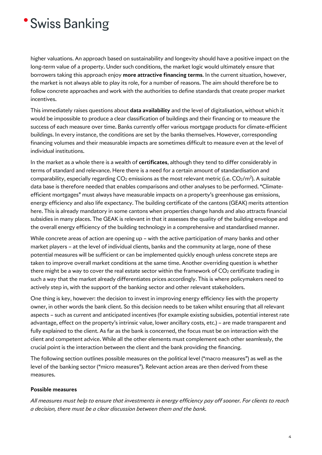## **Swiss Banking**

higher valuations. An approach based on sustainability and longevity should have a positive impact on the long-term value of a property. Under such conditions, the market logic would ultimately ensure that borrowers taking this approach enjoy **more attractive financing terms**. In the current situation, however, the market is not always able to play its role, for a number of reasons. The aim should therefore be to follow concrete approaches and work with the authorities to define standards that create proper market incentives.

This immediately raises questions about **data availability** and the level of digitalisation, without which it would be impossible to produce a clear classification of buildings and their financing or to measure the success of each measure over time. Banks currently offer various mortgage products for climate-efficient buildings. In every instance, the conditions are set by the banks themselves. However, corresponding financing volumes and their measurable impacts are sometimes difficult to measure even at the level of individual institutions.

In the market as a whole there is a wealth of **certificates**, although they tend to differ considerably in terms of standard and relevance. Here there is a need for a certain amount of standardisation and comparability, especially regarding  $CO<sub>2</sub>$  emissions as the most relevant metric (i.e.  $CO<sub>2</sub>/m<sup>2</sup>$ ). A suitable data base is therefore needed that enables comparisons and other analyses to be performed. "Climateefficient mortgages" must always have measurable impacts on a property's greenhouse gas emissions, energy efficiency and also life expectancy. The building certificate of the cantons (GEAK) merits attention here. This is already mandatory in some cantons when properties change hands and also attracts financial subsidies in many places. The GEAK is relevant in that it assesses the quality of the building envelope and the overall energy efficiency of the building technology in a comprehensive and standardised manner.

While concrete areas of action are opening up – with the active participation of many banks and other market players – at the level of individual clients, banks and the community at large, none of these potential measures will be sufficient or can be implemented quickly enough unless concrete steps are taken to improve overall market conditions at the same time. Another overriding question is whether there might be a way to cover the real estate sector within the framework of  $CO<sub>2</sub>$  certificate trading in such a way that the market already differentiates prices accordingly. This is where policymakers need to actively step in, with the support of the banking sector and other relevant stakeholders.

One thing is key, however: the decision to invest in improving energy efficiency lies with the property owner, in other words the bank client. So this decision needs to be taken whilst ensuring that all relevant aspects – such as current and anticipated incentives (for example existing subsidies, potential interest rate advantage, effect on the property's intrinsic value, lower ancillary costs, etc.) – are made transparent and fully explained to the client. As far as the bank is concerned, the focus must be on interaction with the client and competent advice. While all the other elements must complement each other seamlessly, the crucial point is the interaction between the client and the bank providing the financing.

The following section outlines possible measures on the political level ("macro measures") as well as the level of the banking sector ("micro measures"). Relevant action areas are then derived from these measures.

#### **Possible measures**

*All measures must help to ensure that investments in energy efficiency pay off sooner. For clients to reach a decision, there must be a clear discussion between them and the bank.*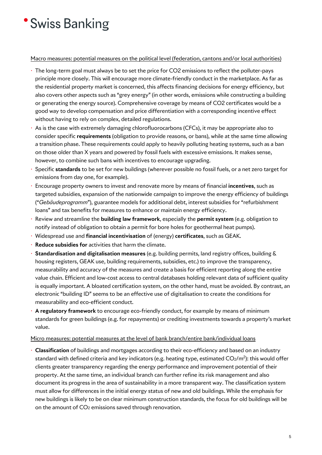# **Swiss Banking**

#### Macro measures: potential measures on the political level (federation, cantons and/or local authorities)

- $\cdot$  The long-term goal must always be to set the price for CO2 emissions to reflect the polluter-pays principle more closely. This will encourage more climate-friendly conduct in the marketplace. As far as the residential property market is concerned, this affects financing decisions for energy efficiency, but also covers other aspects such as "grey energy" (in other words, emissions while constructing a building or generating the energy source). Comprehensive coverage by means of CO2 certificates would be a good way to develop compensation and price differentiation with a corresponding incentive effect without having to rely on complex, detailed regulations.
- As is the case with extremely damaging chlorofluorocarbons (CFCs), it may be appropriate also to consider specific **requirements** (obligation to provide reasons, or bans), while at the same time allowing a transition phase. These requirements could apply to heavily polluting heating systems, such as a ban on those older than X years and powered by fossil fuels with excessive emissions. It makes sense, however, to combine such bans with incentives to encourage upgrading.
- ⋅ Specific **standards** to be set for new buildings (wherever possible no fossil fuels, or a net zero target for emissions from day one, for example).
- ⋅ Encourage property owners to invest and renovate more by means of financial **incentives**, such as targeted subsidies, expansion of the nationwide campaign to improve the energy efficiency of buildings ("*Gebäudeprogramm*"), guarantee models for additional debt, interest subsidies for "refurbishment loans" and tax benefits for measures to enhance or maintain energy efficiency.
- ⋅ Review and streamline the **building law framework**, especially the **permit system** (e.g. obligation to notify instead of obligation to obtain a permit for bore holes for geothermal heat pumps).
- ⋅ Widespread use and **financial incentivisation** of (energy) **certificates**, such as GEAK.
- ⋅ **Reduce subsidies for** activities that harm the climate.
- ⋅ **Standardisation and digitalisation measures** (e.g. building permits, land registry offices, building & housing registers, GEAK use, building requirements, subsidies, etc.) to improve the transparency, measurability and accuracy of the measures and create a basis for efficient reporting along the entire value chain. Efficient and low-cost access to central databases holding relevant data of sufficient quality is equally important. A bloated certification system, on the other hand, must be avoided. By contrast, an electronic "building ID" seems to be an effective use of digitalisation to create the conditions for measurability and eco-efficient conduct.
- ⋅ **A regulatory framework** to encourage eco-friendly conduct, for example by means of minimum standards for green buildings (e.g. for repayments) or crediting investments towards a property's market value.

#### Micro measures: potential measures at the level of bank branch/entire bank/individual loans

⋅ **Classification** of buildings and mortgages according to their eco-efficiency and based on an industry standard with defined criteria and key indicators (e.g. heating type, estimated  $CO_2/m^2$ ): this would offer clients greater transparency regarding the energy performance and improvement potential of their property. At the same time, an individual branch can further refine its risk management and also document its progress in the area of sustainability in a more transparent way. The classification system must allow for differences in the initial energy status of new and old buildings. While the emphasis for new buildings is likely to be on clear minimum construction standards, the focus for old buildings will be on the amount of CO<sub>2</sub> emissions saved through renovation.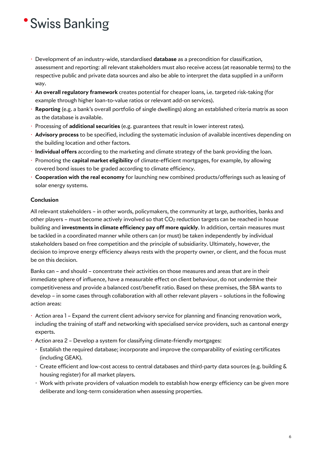# 'Swiss Banking

- ⋅ Development of an industry-wide, standardised **database** as a precondition for classification, assessment and reporting: all relevant stakeholders must also receive access (at reasonable terms) to the respective public and private data sources and also be able to interpret the data supplied in a uniform way.
- ⋅ **An overall regulatory framework** creates potential for cheaper loans, i.e. targeted risk-taking (for example through higher loan-to-value ratios or relevant add-on services).
- ⋅ **Reporting** (e.g. a bank's overall portfolio of single dwellings) along an established criteria matrix as soon as the database is available.
- ⋅ Processing of **additional securities** (e.g. guarantees that result in lower interest rates).
- ⋅ **Advisory process** to be specified, including the systematic inclusion of available incentives depending on the building location and other factors.
- ⋅ **Individual offers** according to the marketing and climate strategy of the bank providing the loan.
- ⋅ Promoting the **capital market eligibility** of climate-efficient mortgages, for example, by allowing covered bond issues to be graded according to climate efficiency.
- ⋅ **Cooperation with the real economy** for launching new combined products/offerings such as leasing of solar energy systems.

### **Conclusion**

All relevant stakeholders – in other words, policymakers, the community at large, authorities, banks and other players – must become actively involved so that CO2 reduction targets can be reached in house building and **investments in climate efficiency pay off more quickly**. In addition, certain measures must be tackled in a coordinated manner while others can (or must) be taken independently by individual stakeholders based on free competition and the principle of subsidiarity. Ultimately, however, the decision to improve energy efficiency always rests with the property owner, or client, and the focus must be on this decision.

Banks can – and should – concentrate their activities on those measures and areas that are in their immediate sphere of influence, have a measurable effect on client behaviour, do not undermine their competitiveness and provide a balanced cost/benefit ratio. Based on these premises, the SBA wants to develop – in some cases through collaboration with all other relevant players – solutions in the following action areas:

- ⋅ Action area 1 Expand the current client advisory service for planning and financing renovation work, including the training of staff and networking with specialised service providers, such as cantonal energy experts.
- ⋅ Action area 2 Develop a system for classifying climate-friendly mortgages:
	- ⋅ Establish the required database; incorporate and improve the comparability of existing certificates (including GEAK).
	- ⋅ Create efficient and low-cost access to central databases and third-party data sources (e.g. building & housing register) for all market players.
	- ⋅ Work with private providers of valuation models to establish how energy efficiency can be given more deliberate and long-term consideration when assessing properties.